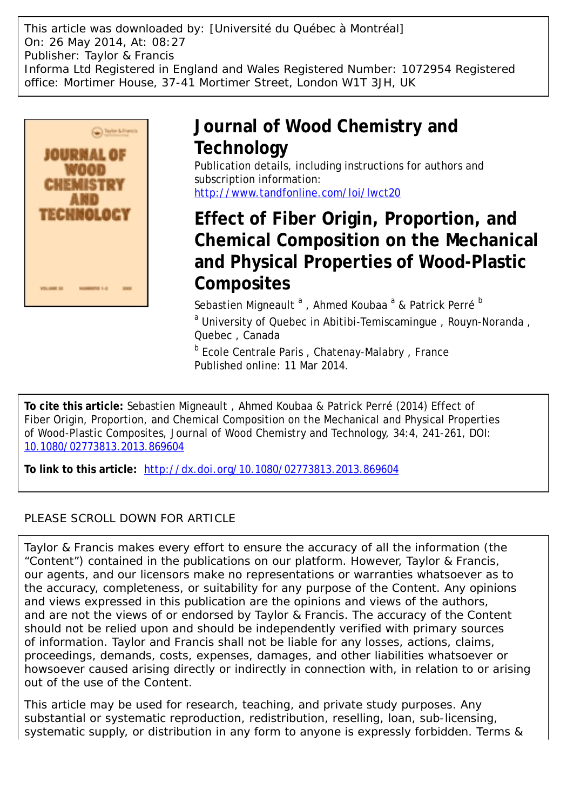This article was downloaded by: [Université du Québec à Montréal] On: 26 May 2014, At: 08:27 Publisher: Taylor & Francis Informa Ltd Registered in England and Wales Registered Number: 1072954 Registered office: Mortimer House, 37-41 Mortimer Street, London W1T 3JH, UK



# **Journal of Wood Chemistry and Technology**

Publication details, including instructions for authors and subscription information: <http://www.tandfonline.com/loi/lwct20>

## **Effect of Fiber Origin, Proportion, and Chemical Composition on the Mechanical and Physical Properties of Wood-Plastic Composites**

Sebastien Migneault <sup>a</sup>, Ahmed Koubaa <sup>a</sup> & Patrick Perré <sup>b</sup>

<sup>a</sup> University of Quebec in Abitibi-Temiscamingue, Rouyn-Noranda, Quebec , Canada

<sup>b</sup> Ecole Centrale Paris, Chatenay-Malabry, France Published online: 11 Mar 2014.

**To cite this article:** Sebastien Migneault , Ahmed Koubaa & Patrick Perré (2014) Effect of Fiber Origin, Proportion, and Chemical Composition on the Mechanical and Physical Properties of Wood-Plastic Composites, Journal of Wood Chemistry and Technology, 34:4, 241-261, DOI: [10.1080/02773813.2013.869604](http://www.tandfonline.com/action/showCitFormats?doi=10.1080/02773813.2013.869604)

**To link to this article:** <http://dx.doi.org/10.1080/02773813.2013.869604>

## PLEASE SCROLL DOWN FOR ARTICLE

Taylor & Francis makes every effort to ensure the accuracy of all the information (the "Content") contained in the publications on our platform. However, Taylor & Francis, our agents, and our licensors make no representations or warranties whatsoever as to the accuracy, completeness, or suitability for any purpose of the Content. Any opinions and views expressed in this publication are the opinions and views of the authors, and are not the views of or endorsed by Taylor & Francis. The accuracy of the Content should not be relied upon and should be independently verified with primary sources of information. Taylor and Francis shall not be liable for any losses, actions, claims, proceedings, demands, costs, expenses, damages, and other liabilities whatsoever or howsoever caused arising directly or indirectly in connection with, in relation to or arising out of the use of the Content.

This article may be used for research, teaching, and private study purposes. Any substantial or systematic reproduction, redistribution, reselling, loan, sub-licensing, systematic supply, or distribution in any form to anyone is expressly forbidden. Terms &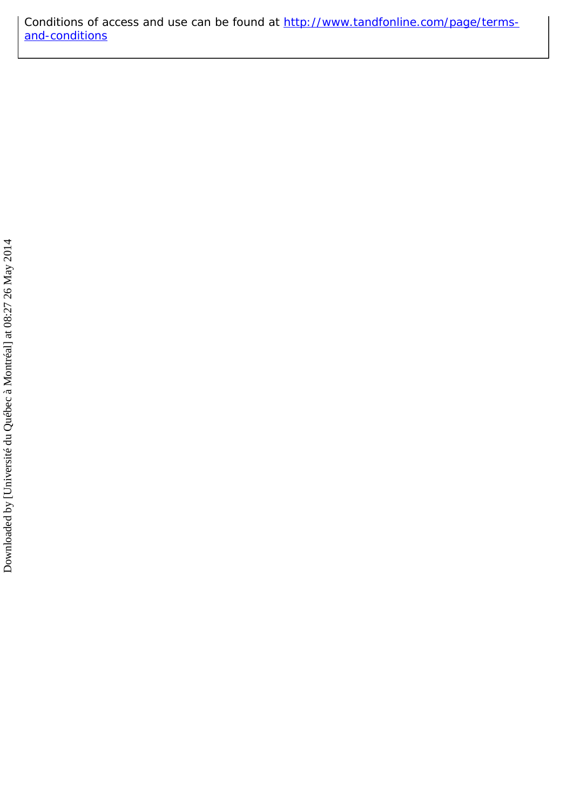Conditions of access and use can be found at [http://www.tandfonline.com/page/terms](http://www.tandfonline.com/page/terms-and-conditions)[and-conditions](http://www.tandfonline.com/page/terms-and-conditions)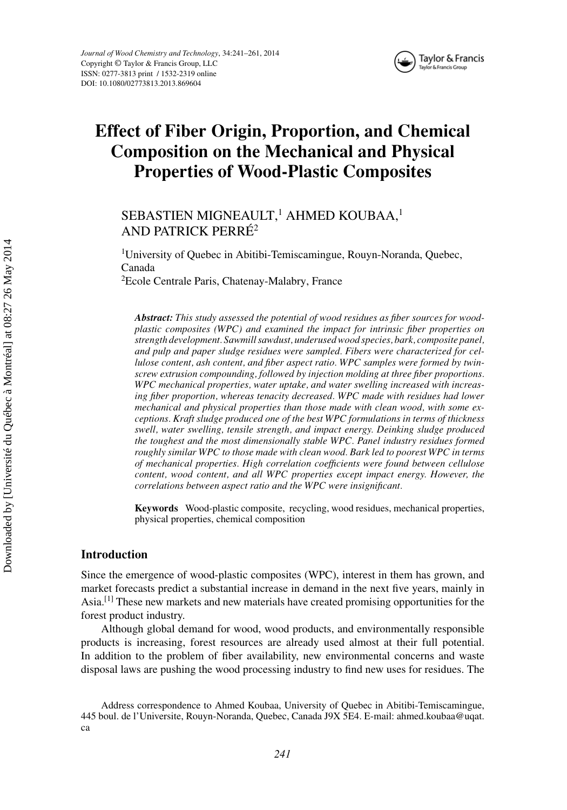

## **Effect of Fiber Origin, Proportion, and Chemical Composition on the Mechanical and Physical Properties of Wood-Plastic Composites**

SEBASTIEN MIGNEAULT,<sup>1</sup> AHMED KOUBAA,<sup>1</sup> AND PATRICK PERRÉ<sup>2</sup>

<sup>1</sup>University of Quebec in Abitibi-Temiscamingue, Rouyn-Noranda, Quebec, Canada <sup>2</sup>Ecole Centrale Paris, Chatenay-Malabry, France

*Abstract: This study assessed the potential of wood residues as fiber sources for woodplastic composites (WPC) and examined the impact for intrinsic fiber properties on strength development. Sawmill sawdust, underused wood species, bark, composite panel, and pulp and paper sludge residues were sampled. Fibers were characterized for cellulose content, ash content, and fiber aspect ratio. WPC samples were formed by twinscrew extrusion compounding, followed by injection molding at three fiber proportions. WPC mechanical properties, water uptake, and water swelling increased with increasing fiber proportion, whereas tenacity decreased. WPC made with residues had lower mechanical and physical properties than those made with clean wood, with some exceptions. Kraft sludge produced one of the best WPC formulations in terms of thickness swell, water swelling, tensile strength, and impact energy. Deinking sludge produced the toughest and the most dimensionally stable WPC. Panel industry residues formed roughly similar WPC to those made with clean wood. Bark led to poorest WPC in terms of mechanical properties. High correlation coefficients were found between cellulose content, wood content, and all WPC properties except impact energy. However, the correlations between aspect ratio and the WPC were insignificant.*

**Keywords** Wood-plastic composite, recycling, wood residues, mechanical properties, physical properties, chemical composition

## **Introduction**

Since the emergence of wood-plastic composites (WPC), interest in them has grown, and market forecasts predict a substantial increase in demand in the next five years, mainly in Asia.<sup>[1]</sup> These new markets and new materials have created promising opportunities for the forest product industry.

Although global demand for wood, wood products, and environmentally responsible products is increasing, forest resources are already used almost at their full potential. In addition to the problem of fiber availability, new environmental concerns and waste disposal laws are pushing the wood processing industry to find new uses for residues. The

Address correspondence to Ahmed Koubaa, University of Quebec in Abitibi-Temiscamingue, 445 boul. de l'Universite, Rouyn-Noranda, Quebec, Canada J9X 5E4. E-mail: ahmed.koubaa@uqat. ca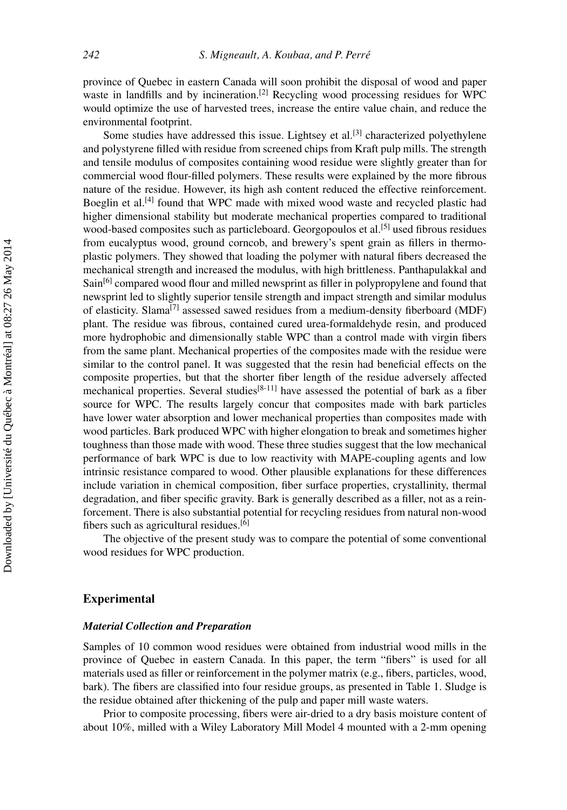province of Quebec in eastern Canada will soon prohibit the disposal of wood and paper waste in landfills and by incineration.<sup>[2]</sup> Recycling wood processing residues for WPC would optimize the use of harvested trees, increase the entire value chain, and reduce the environmental footprint.

Some studies have addressed this issue. Lightsey et al.<sup>[3]</sup> characterized polyethylene and polystyrene filled with residue from screened chips from Kraft pulp mills. The strength and tensile modulus of composites containing wood residue were slightly greater than for commercial wood flour-filled polymers. These results were explained by the more fibrous nature of the residue. However, its high ash content reduced the effective reinforcement. Boeglin et al.[4] found that WPC made with mixed wood waste and recycled plastic had higher dimensional stability but moderate mechanical properties compared to traditional wood-based composites such as particleboard. Georgopoulos et al.<sup>[5]</sup> used fibrous residues from eucalyptus wood, ground corncob, and brewery's spent grain as fillers in thermoplastic polymers. They showed that loading the polymer with natural fibers decreased the mechanical strength and increased the modulus, with high brittleness. Panthapulakkal and Sain<sup>[6]</sup> compared wood flour and milled newsprint as filler in polypropylene and found that newsprint led to slightly superior tensile strength and impact strength and similar modulus of elasticity. Slama<sup>[7]</sup> assessed sawed residues from a medium-density fiberboard (MDF) plant. The residue was fibrous, contained cured urea-formaldehyde resin, and produced more hydrophobic and dimensionally stable WPC than a control made with virgin fibers from the same plant. Mechanical properties of the composites made with the residue were similar to the control panel. It was suggested that the resin had beneficial effects on the composite properties, but that the shorter fiber length of the residue adversely affected mechanical properties. Several studies<sup>[8-11]</sup> have assessed the potential of bark as a fiber source for WPC. The results largely concur that composites made with bark particles have lower water absorption and lower mechanical properties than composites made with wood particles. Bark produced WPC with higher elongation to break and sometimes higher toughness than those made with wood. These three studies suggest that the low mechanical performance of bark WPC is due to low reactivity with MAPE-coupling agents and low intrinsic resistance compared to wood. Other plausible explanations for these differences include variation in chemical composition, fiber surface properties, crystallinity, thermal degradation, and fiber specific gravity. Bark is generally described as a filler, not as a reinforcement. There is also substantial potential for recycling residues from natural non-wood fibers such as agricultural residues.[6]

The objective of the present study was to compare the potential of some conventional wood residues for WPC production.

#### **Experimental**

### *Material Collection and Preparation*

Samples of 10 common wood residues were obtained from industrial wood mills in the province of Quebec in eastern Canada. In this paper, the term "fibers" is used for all materials used as filler or reinforcement in the polymer matrix (e.g., fibers, particles, wood, bark). The fibers are classified into four residue groups, as presented in Table 1. Sludge is the residue obtained after thickening of the pulp and paper mill waste waters.

Prior to composite processing, fibers were air-dried to a dry basis moisture content of about 10%, milled with a Wiley Laboratory Mill Model 4 mounted with a 2-mm opening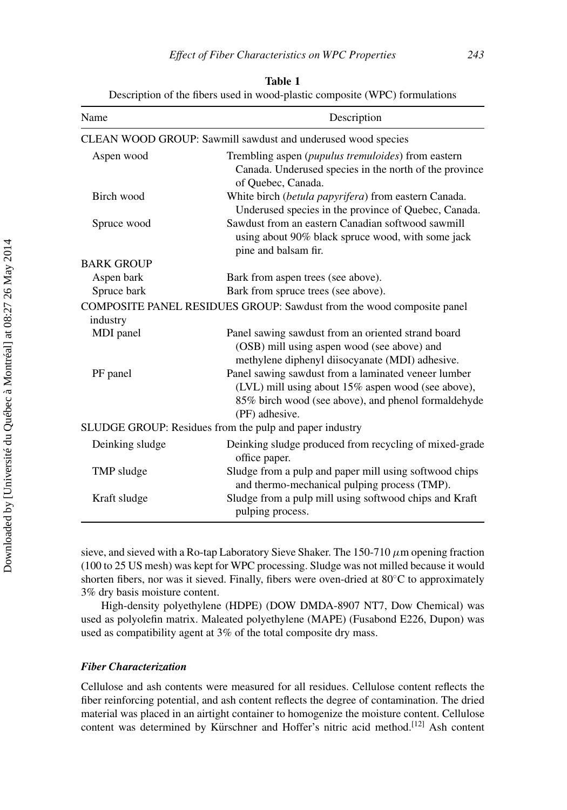| Name              | Description                                                                                                                                                                        |
|-------------------|------------------------------------------------------------------------------------------------------------------------------------------------------------------------------------|
|                   | CLEAN WOOD GROUP: Sawmill sawdust and underused wood species                                                                                                                       |
| Aspen wood        | Trembling aspen (pupulus tremuloides) from eastern<br>Canada. Underused species in the north of the province<br>of Quebec, Canada.                                                 |
| Birch wood        | White birch (betula papyrifera) from eastern Canada.<br>Underused species in the province of Quebec, Canada.                                                                       |
| Spruce wood       | Sawdust from an eastern Canadian softwood sawmill<br>using about 90% black spruce wood, with some jack<br>pine and balsam fir.                                                     |
| <b>BARK GROUP</b> |                                                                                                                                                                                    |
| Aspen bark        | Bark from aspen trees (see above).                                                                                                                                                 |
| Spruce bark       | Bark from spruce trees (see above).                                                                                                                                                |
|                   | COMPOSITE PANEL RESIDUES GROUP: Sawdust from the wood composite panel                                                                                                              |
| industry          |                                                                                                                                                                                    |
| MDI panel         | Panel sawing sawdust from an oriented strand board<br>(OSB) mill using aspen wood (see above) and<br>methylene diphenyl diisocyanate (MDI) adhesive.                               |
| PF panel          | Panel sawing sawdust from a laminated veneer lumber<br>(LVL) mill using about 15% aspen wood (see above),<br>85% birch wood (see above), and phenol formaldehyde<br>(PF) adhesive. |
|                   | SLUDGE GROUP: Residues from the pulp and paper industry                                                                                                                            |
| Deinking sludge   | Deinking sludge produced from recycling of mixed-grade<br>office paper.                                                                                                            |
| TMP sludge        | Sludge from a pulp and paper mill using softwood chips<br>and thermo-mechanical pulping process (TMP).                                                                             |
| Kraft sludge      | Sludge from a pulp mill using softwood chips and Kraft<br>pulping process.                                                                                                         |

**Table 1** Description of the fibers used in wood-plastic composite (WPC) formulations

sieve, and sieved with a Ro-tap Laboratory Sieve Shaker. The  $150-710 \mu m$  opening fraction (100 to 25 US mesh) was kept for WPC processing. Sludge was not milled because it would shorten fibers, nor was it sieved. Finally, fibers were oven-dried at 80◦C to approximately 3% dry basis moisture content.

High-density polyethylene (HDPE) (DOW DMDA-8907 NT7, Dow Chemical) was used as polyolefin matrix. Maleated polyethylene (MAPE) (Fusabond E226, Dupon) was used as compatibility agent at 3% of the total composite dry mass.

## *Fiber Characterization*

Cellulose and ash contents were measured for all residues. Cellulose content reflects the fiber reinforcing potential, and ash content reflects the degree of contamination. The dried material was placed in an airtight container to homogenize the moisture content. Cellulose content was determined by Kürschner and Hoffer's nitric acid method.<sup>[12]</sup> Ash content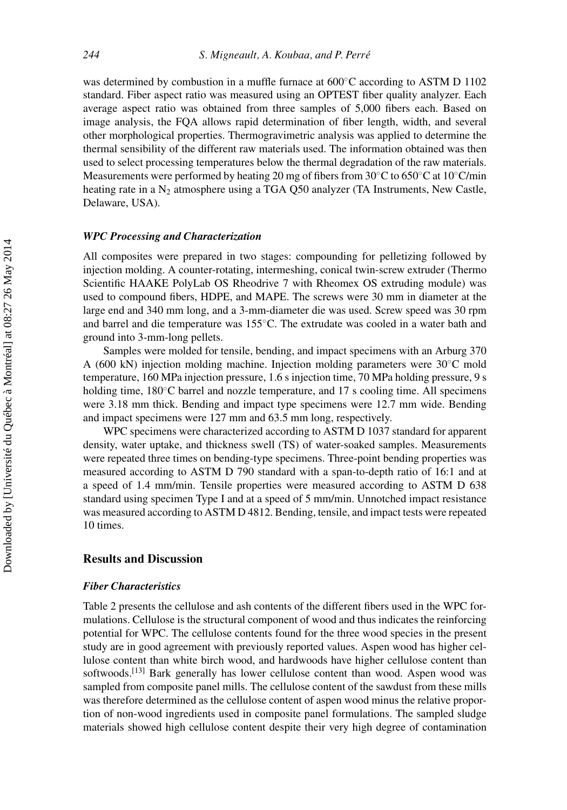was determined by combustion in a muffle furnace at 600◦C according to ASTM D 1102 standard. Fiber aspect ratio was measured using an OPTEST fiber quality analyzer. Each average aspect ratio was obtained from three samples of 5,000 fibers each. Based on image analysis, the FQA allows rapid determination of fiber length, width, and several other morphological properties. Thermogravimetric analysis was applied to determine the thermal sensibility of the different raw materials used. The information obtained was then used to select processing temperatures below the thermal degradation of the raw materials. Measurements were performed by heating 20 mg of fibers from 30°C to 650°C at 10°C/min heating rate in a  $N_2$  atmosphere using a TGA Q50 analyzer (TA Instruments, New Castle, Delaware, USA).

### *WPC Processing and Characterization*

All composites were prepared in two stages: compounding for pelletizing followed by injection molding. A counter-rotating, intermeshing, conical twin-screw extruder (Thermo Scientific HAAKE PolyLab OS Rheodrive 7 with Rheomex OS extruding module) was used to compound fibers, HDPE, and MAPE. The screws were 30 mm in diameter at the large end and 340 mm long, and a 3-mm-diameter die was used. Screw speed was 30 rpm and barrel and die temperature was 155◦C. The extrudate was cooled in a water bath and ground into 3-mm-long pellets.

Samples were molded for tensile, bending, and impact specimens with an Arburg 370 A (600 kN) injection molding machine. Injection molding parameters were 30◦C mold temperature, 160 MPa injection pressure, 1.6 s injection time, 70 MPa holding pressure, 9 s holding time, 180 °C barrel and nozzle temperature, and 17 s cooling time. All specimens were 3.18 mm thick. Bending and impact type specimens were 12.7 mm wide. Bending and impact specimens were 127 mm and 63.5 mm long, respectively.

WPC specimens were characterized according to ASTM D 1037 standard for apparent density, water uptake, and thickness swell (TS) of water-soaked samples. Measurements were repeated three times on bending-type specimens. Three-point bending properties was measured according to ASTM D 790 standard with a span-to-depth ratio of 16:1 and at a speed of 1.4 mm/min. Tensile properties were measured according to ASTM D 638 standard using specimen Type I and at a speed of 5 mm/min. Unnotched impact resistance was measured according to ASTM D 4812. Bending, tensile, and impact tests were repeated 10 times.

## **Results and Discussion**

#### *Fiber Characteristics*

Table 2 presents the cellulose and ash contents of the different fibers used in the WPC formulations. Cellulose is the structural component of wood and thus indicates the reinforcing potential for WPC. The cellulose contents found for the three wood species in the present study are in good agreement with previously reported values. Aspen wood has higher cellulose content than white birch wood, and hardwoods have higher cellulose content than softwoods.<sup>[13]</sup> Bark generally has lower cellulose content than wood. Aspen wood was sampled from composite panel mills. The cellulose content of the sawdust from these mills was therefore determined as the cellulose content of aspen wood minus the relative proportion of non-wood ingredients used in composite panel formulations. The sampled sludge materials showed high cellulose content despite their very high degree of contamination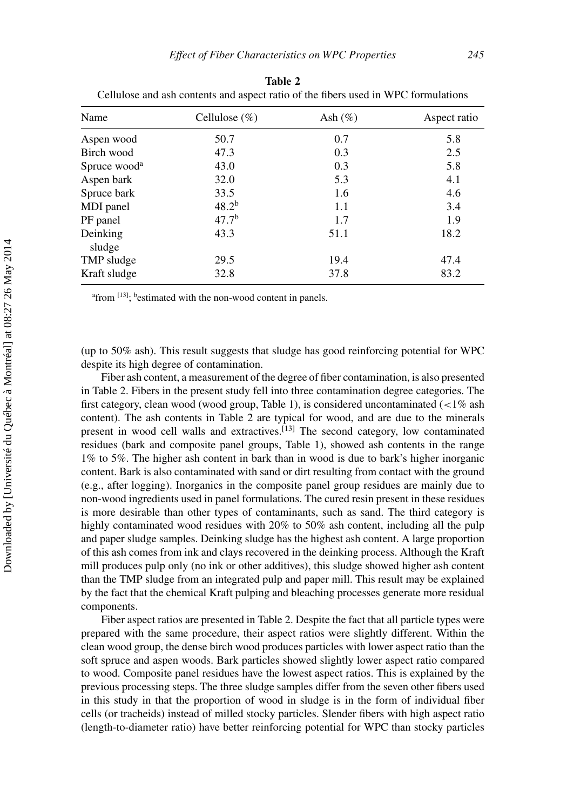| Name                     | Cellulose $(\%)$  | Ash $(\%)$ | Aspect ratio |
|--------------------------|-------------------|------------|--------------|
| Aspen wood               | 50.7              | 0.7        | 5.8          |
| Birch wood               | 47.3              | 0.3        | 2.5          |
| Spruce wood <sup>a</sup> | 43.0              | 0.3        | 5.8          |
| Aspen bark               | 32.0              | 5.3        | 4.1          |
| Spruce bark              | 33.5              | 1.6        | 4.6          |
| MDI panel                | 48.2 <sup>b</sup> | 1.1        | 3.4          |
| PF panel                 | 47.7 <sup>b</sup> | 1.7        | 1.9          |
| Deinking<br>sludge       | 43.3              | 51.1       | 18.2         |
| TMP sludge               | 29.5              | 19.4       | 47.4         |
| Kraft sludge             | 32.8              | 37.8       | 83.2         |

**Table 2** Cellulose and ash contents and aspect ratio of the fibers used in WPC formulations

 $^{a}$ from  $^{[13]}$ ; bestimated with the non-wood content in panels.

(up to 50% ash). This result suggests that sludge has good reinforcing potential for WPC despite its high degree of contamination.

Fiber ash content, a measurement of the degree of fiber contamination, is also presented in Table 2. Fibers in the present study fell into three contamination degree categories. The first category, clean wood (wood group, Table 1), is considered uncontaminated  $\langle$  <1% ash content). The ash contents in Table 2 are typical for wood, and are due to the minerals present in wood cell walls and extractives.[13] The second category, low contaminated residues (bark and composite panel groups, Table 1), showed ash contents in the range 1% to 5%. The higher ash content in bark than in wood is due to bark's higher inorganic content. Bark is also contaminated with sand or dirt resulting from contact with the ground (e.g., after logging). Inorganics in the composite panel group residues are mainly due to non-wood ingredients used in panel formulations. The cured resin present in these residues is more desirable than other types of contaminants, such as sand. The third category is highly contaminated wood residues with 20% to 50% ash content, including all the pulp and paper sludge samples. Deinking sludge has the highest ash content. A large proportion of this ash comes from ink and clays recovered in the deinking process. Although the Kraft mill produces pulp only (no ink or other additives), this sludge showed higher ash content than the TMP sludge from an integrated pulp and paper mill. This result may be explained by the fact that the chemical Kraft pulping and bleaching processes generate more residual components.

Fiber aspect ratios are presented in Table 2. Despite the fact that all particle types were prepared with the same procedure, their aspect ratios were slightly different. Within the clean wood group, the dense birch wood produces particles with lower aspect ratio than the soft spruce and aspen woods. Bark particles showed slightly lower aspect ratio compared to wood. Composite panel residues have the lowest aspect ratios. This is explained by the previous processing steps. The three sludge samples differ from the seven other fibers used in this study in that the proportion of wood in sludge is in the form of individual fiber cells (or tracheids) instead of milled stocky particles. Slender fibers with high aspect ratio (length-to-diameter ratio) have better reinforcing potential for WPC than stocky particles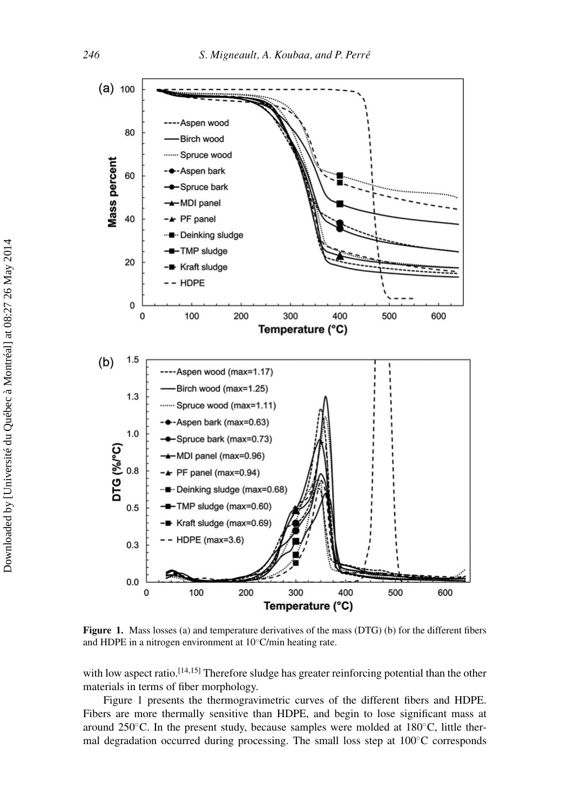

**Figure 1.** Mass losses (a) and temperature derivatives of the mass (DTG) (b) for the different fibers and HDPE in a nitrogen environment at 10◦C/min heating rate.

with low aspect ratio.<sup>[14,15]</sup> Therefore sludge has greater reinforcing potential than the other materials in terms of fiber morphology.

Figure 1 presents the thermogravimetric curves of the different fibers and HDPE. Fibers are more thermally sensitive than HDPE, and begin to lose significant mass at around  $250\textdegree$ C. In the present study, because samples were molded at  $180\textdegree$ C, little thermal degradation occurred during processing. The small loss step at 100◦C corresponds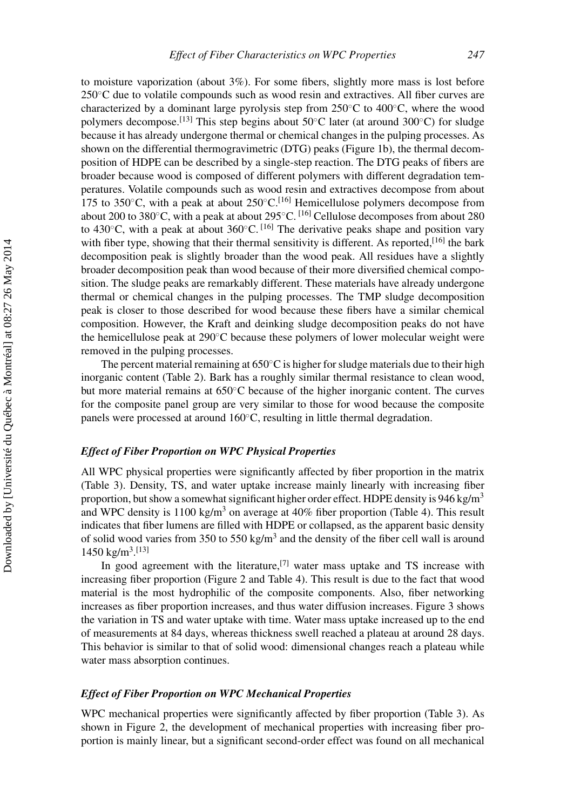to moisture vaporization (about 3%). For some fibers, slightly more mass is lost before  $250\degree$ C due to volatile compounds such as wood resin and extractives. All fiber curves are characterized by a dominant large pyrolysis step from  $250^{\circ}$ C to  $400^{\circ}$ C, where the wood polymers decompose.<sup>[13]</sup> This step begins about 50 $\degree$ C later (at around 300 $\degree$ C) for sludge because it has already undergone thermal or chemical changes in the pulping processes. As shown on the differential thermogravimetric (DTG) peaks (Figure 1b), the thermal decomposition of HDPE can be described by a single-step reaction. The DTG peaks of fibers are broader because wood is composed of different polymers with different degradation temperatures. Volatile compounds such as wood resin and extractives decompose from about 175 to 350◦C, with a peak at about 250◦C.[16] Hemicellulose polymers decompose from about 200 to 380◦C, with a peak at about 295◦C. [16] Cellulose decomposes from about 280 to 430 $°C$ , with a peak at about 360 $°C$ . [16] The derivative peaks shape and position vary with fiber type, showing that their thermal sensitivity is different. As reported,  $[16]$  the bark decomposition peak is slightly broader than the wood peak. All residues have a slightly broader decomposition peak than wood because of their more diversified chemical composition. The sludge peaks are remarkably different. These materials have already undergone thermal or chemical changes in the pulping processes. The TMP sludge decomposition peak is closer to those described for wood because these fibers have a similar chemical composition. However, the Kraft and deinking sludge decomposition peaks do not have the hemicellulose peak at 290◦C because these polymers of lower molecular weight were removed in the pulping processes.

The percent material remaining at 650◦C is higher for sludge materials due to their high inorganic content (Table 2). Bark has a roughly similar thermal resistance to clean wood, but more material remains at 650◦C because of the higher inorganic content. The curves for the composite panel group are very similar to those for wood because the composite panels were processed at around 160◦C, resulting in little thermal degradation.

### *Effect of Fiber Proportion on WPC Physical Properties*

All WPC physical properties were significantly affected by fiber proportion in the matrix (Table 3). Density, TS, and water uptake increase mainly linearly with increasing fiber proportion, but show a somewhat significant higher order effect. HDPE density is 946 kg/m<sup>3</sup> and WPC density is  $1100 \text{ kg/m}^3$  on average at 40% fiber proportion (Table 4). This result indicates that fiber lumens are filled with HDPE or collapsed, as the apparent basic density of solid wood varies from 350 to 550 kg/m<sup>3</sup> and the density of the fiber cell wall is around 1450 kg/m<sup>3</sup>.<sup>[13]</sup>

In good agreement with the literature,<sup>[7]</sup> water mass uptake and TS increase with increasing fiber proportion (Figure 2 and Table 4). This result is due to the fact that wood material is the most hydrophilic of the composite components. Also, fiber networking increases as fiber proportion increases, and thus water diffusion increases. Figure 3 shows the variation in TS and water uptake with time. Water mass uptake increased up to the end of measurements at 84 days, whereas thickness swell reached a plateau at around 28 days. This behavior is similar to that of solid wood: dimensional changes reach a plateau while water mass absorption continues.

## *Effect of Fiber Proportion on WPC Mechanical Properties*

WPC mechanical properties were significantly affected by fiber proportion (Table 3). As shown in Figure 2, the development of mechanical properties with increasing fiber proportion is mainly linear, but a significant second-order effect was found on all mechanical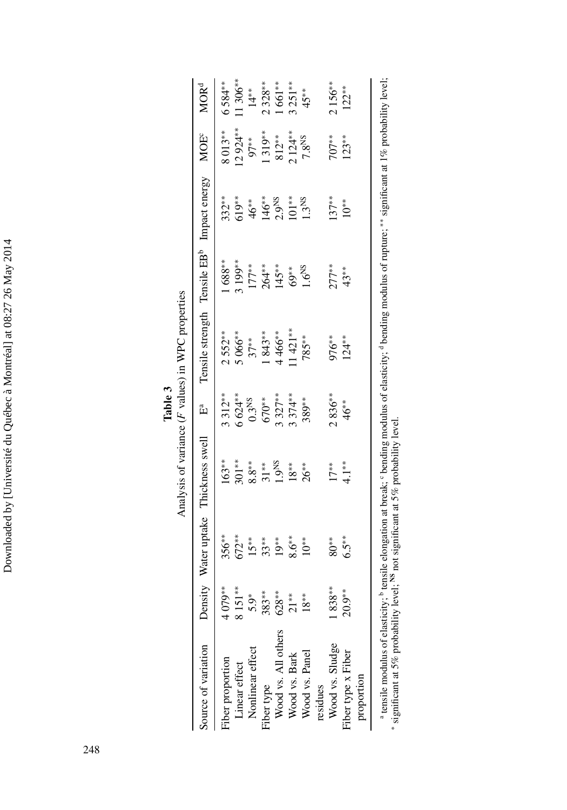|                     |          |                                                            | Analysis of variance (F values) in WPC properties | Table 3                    |                                                         |                                    |                   |                        |                     |
|---------------------|----------|------------------------------------------------------------|---------------------------------------------------|----------------------------|---------------------------------------------------------|------------------------------------|-------------------|------------------------|---------------------|
| Source of variation | Density  |                                                            | Water uptake Thickness swell                      | $\tilde{E}$                | Tensile strength Tensile EB <sup>b</sup>                |                                    | Impact energy     | <b>MOE<sup>c</sup></b> | MOR <sup>d</sup>    |
| iber proportion     | 4 079**  | $356***$                                                   | $163**$                                           | $3312**$                   | $2.552***$                                              | $1688**$                           | $332**$           | 8 013**                | 6584 **             |
| Linear effect       | 8 151**  |                                                            | $\frac{301***}{8.8***}$                           |                            |                                                         |                                    |                   | $12.924**$             | $11306***$          |
| Nonlinear effect    | $5.9*$   | $672**$<br>$15**$<br>$33**$<br>$19**$<br>$19**$<br>$8.6**$ |                                                   | $6624**$<br>0.3NS<br>670** | $5\frac{3}{37}$<br>$37***$<br>$1\frac{843***}{4466***}$ | 3 199**<br>177**<br>264**<br>145** | $619***$          | $97**$                 | $14**$              |
| Fiber type          | 383**    |                                                            | $1.9^{**}$                                        |                            |                                                         |                                    | $146**$           | $1319***$<br>812**     |                     |
| Wood vs. All others | $628**$  |                                                            |                                                   | $3327***$                  |                                                         |                                    | 2.9 <sup>NS</sup> |                        | $2328***$<br>1661** |
| Wood vs. Bark       | $21**$   |                                                            | $18^{**}$                                         | $3374***$                  | $11421$ **                                              | $69***$                            | $101**$           | $2.124**$              | $3251***$           |
| Wood vs. Panel      | $18**$   | $10^{**}$                                                  | $26**$                                            | 389**                      | 785**                                                   | $1.6^{NS}$                         | 1.3 <sup>NS</sup> | $7.8$ NS               | $45**$              |
| residues            |          |                                                            |                                                   |                            |                                                         |                                    |                   |                        |                     |
| Wood vs. Sludge     | $.838**$ | $80**$                                                     | $17**$                                            | $2836**$                   | 976**                                                   | $277**$                            | $137***$          | $707**$                | $2156**$            |
| Fiber type x Fiber  | $20.9**$ | $6.5***$                                                   | $4.1**$                                           | 46**                       | $124**$                                                 | $43***$                            | $10**$            | $123**$                | $122**$             |
| proportion          |          |                                                            |                                                   |                            |                                                         |                                    |                   |                        |                     |

a tensile modulus of elasticity; b tensile elongation at break; c bending modulus of elasticity; d bending modulus of rupture; ∗∗ significant at 1% probability level; significant at 5% probability level; **NS** not significant at 5% probability level.

∗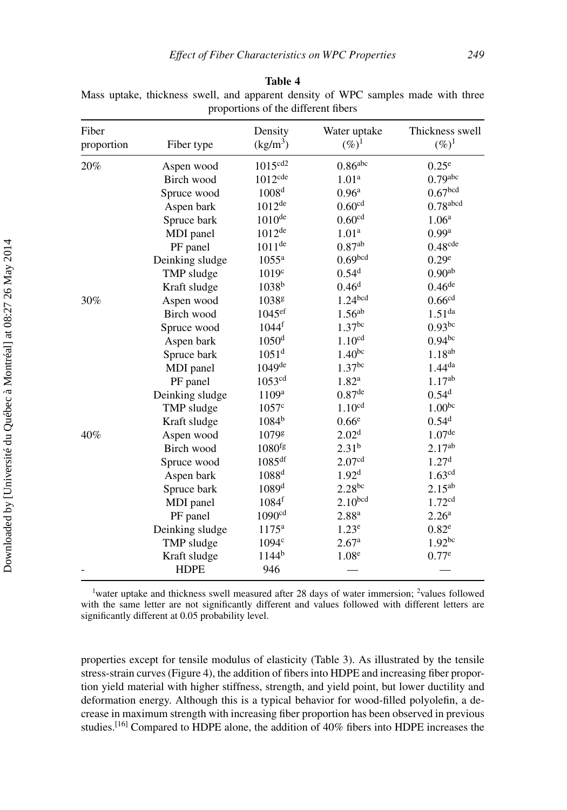|         | $\sim$ |   |
|---------|--------|---|
|         |        |   |
| L,      |        |   |
|         |        |   |
|         |        |   |
| Į<br>÷. |        | j |
|         |        |   |
|         |        |   |

|  |                                                                                   |  | Table 4                             |  |  |  |  |
|--|-----------------------------------------------------------------------------------|--|-------------------------------------|--|--|--|--|
|  | Mass uptake, thickness swell, and apparent density of WPC samples made with three |  |                                     |  |  |  |  |
|  |                                                                                   |  | proportions of the different fibers |  |  |  |  |

| Fiber<br>proportion | Fiber type      | Density<br>(kg/m <sup>3</sup> ) | Water uptake<br>$(\%)^1$ | Thickness swell<br>$(\%)^1$ |
|---------------------|-----------------|---------------------------------|--------------------------|-----------------------------|
| 20%                 | Aspen wood      | $1015^{cd2}$                    | $0.86$ <sup>abc</sup>    | $0.25^e$                    |
|                     | Birch wood      | $1012$ cde                      | 1.01 <sup>a</sup>        | $0.79$ abc                  |
|                     | Spruce wood     | 1008 <sup>d</sup>               | 0.96 <sup>a</sup>        | 0.67 <sup>bcd</sup>         |
|                     | Aspen bark      | $1012$ <sup>de</sup>            | 0.60 <sup>cd</sup>       | $0.78$ abcd                 |
|                     | Spruce bark     | $1010$ de                       | $0.60^{\rm cd}$          | 1.06 <sup>a</sup>           |
|                     | MDI panel       | $1012^{\rm de}$                 | 1.01 <sup>a</sup>        | 0.99a                       |
|                     | PF panel        | $1011^{de}$                     | $0.87^{ab}$              | $0.48$ cde                  |
|                     | Deinking sludge | $1055^a$                        | 0.69 <sup>bcd</sup>      | 0.29 <sup>e</sup>           |
|                     | TMP sludge      | 1019 <sup>c</sup>               | 0.54 <sup>d</sup>        | 0.90 <sup>ab</sup>          |
|                     | Kraft sludge    | $1038^{b}$                      | 0.46 <sup>d</sup>        | 0.46 <sup>de</sup>          |
| 30%                 | Aspen wood      | 1038 <sup>g</sup>               | 1.24 <sup>bcd</sup>      | 0.66 <sup>cd</sup>          |
|                     | Birch wood      | 1045 <sup>ef</sup>              | 1.56 <sup>ab</sup>       | $1.51^\mathrm{da}$          |
|                     | Spruce wood     | 1044 <sup>f</sup>               | $1.37$ bc                | $0.93^{bc}$                 |
|                     | Aspen bark      | 1050 <sup>d</sup>               | 1.10 <sup>cd</sup>       | $0.94^{bc}$                 |
|                     | Spruce bark     | $1051^d$                        | $1.40^{bc}$              | 1.18 <sup>ab</sup>          |
|                     | MDI panel       | $1049$ <sup>de</sup>            | $1.37$ bc                | $1.44^{da}$                 |
|                     | PF panel        | $1053^{cd}$                     | 1.82 <sup>a</sup>        | $1.17^{ab}$                 |
|                     | Deinking sludge | 1109 <sup>a</sup>               | $0.87^{\rm de}$          | $0.54^{\rm d}$              |
|                     | TMP sludge      | 1057c                           | 1.10 <sup>cd</sup>       | $1.00^{bc}$                 |
|                     | Kraft sludge    | $1084^{b}$                      | 0.66e                    | 0.54 <sup>d</sup>           |
| 40%                 | Aspen wood      | 1079g                           | 2.02 <sup>d</sup>        | $1.07$ <sup>de</sup>        |
|                     | Birch wood      | $1080$ <sup>fg</sup>            | 2.31 <sup>b</sup>        | $2.17^{ab}$                 |
|                     | Spruce wood     | $1085^{\rm df}$                 | 2.07 <sup>cd</sup>       | 1.27 <sup>d</sup>           |
|                     | Aspen bark      | 1088 <sup>d</sup>               | 1.92 <sup>d</sup>        | 1.63 <sup>cd</sup>          |
|                     | Spruce bark     | 1089 <sup>d</sup>               | $2.28^{bc}$              | $2.15^{ab}$                 |
|                     | MDI panel       | $1084$ <sup>f</sup>             | 2.10 <sup>bcd</sup>      | 1.72 <sup>cd</sup>          |
|                     | PF panel        | 1090 <sup>cd</sup>              | $2.88^{a}$               | 2.26 <sup>a</sup>           |
|                     | Deinking sludge | $1175^{\rm a}$                  | 1.23 <sup>e</sup>        | 0.82 <sup>e</sup>           |
|                     | TMP sludge      | 1094 <sup>c</sup>               | 2.67 <sup>a</sup>        | $1.92^{bc}$                 |
|                     | Kraft sludge    | 1144 <sup>b</sup>               | 1.08 <sup>e</sup>        | 0.77e                       |
|                     | <b>HDPE</b>     | 946                             |                          |                             |

<sup>1</sup>water uptake and thickness swell measured after 28 days of water immersion; <sup>2</sup>values followed with the same letter are not significantly different and values followed with different letters are significantly different at 0.05 probability level.

properties except for tensile modulus of elasticity (Table 3). As illustrated by the tensile stress-strain curves (Figure 4), the addition of fibers into HDPE and increasing fiber proportion yield material with higher stiffness, strength, and yield point, but lower ductility and deformation energy. Although this is a typical behavior for wood-filled polyolefin, a decrease in maximum strength with increasing fiber proportion has been observed in previous studies.[16] Compared to HDPE alone, the addition of 40% fibers into HDPE increases the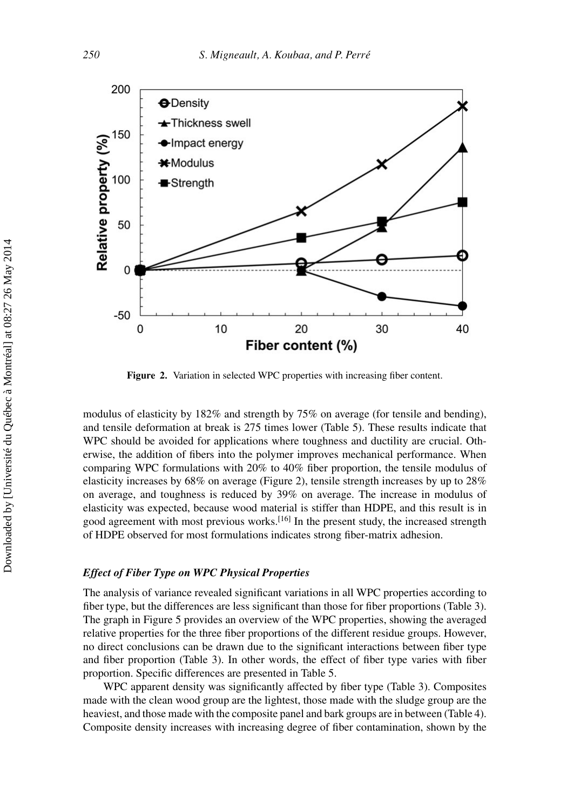

**Figure 2.** Variation in selected WPC properties with increasing fiber content.

modulus of elasticity by 182% and strength by 75% on average (for tensile and bending), and tensile deformation at break is 275 times lower (Table 5). These results indicate that WPC should be avoided for applications where toughness and ductility are crucial. Otherwise, the addition of fibers into the polymer improves mechanical performance. When comparing WPC formulations with 20% to 40% fiber proportion, the tensile modulus of elasticity increases by 68% on average (Figure 2), tensile strength increases by up to 28% on average, and toughness is reduced by 39% on average. The increase in modulus of elasticity was expected, because wood material is stiffer than HDPE, and this result is in good agreement with most previous works.<sup>[16]</sup> In the present study, the increased strength of HDPE observed for most formulations indicates strong fiber-matrix adhesion.

## *Effect of Fiber Type on WPC Physical Properties*

The analysis of variance revealed significant variations in all WPC properties according to fiber type, but the differences are less significant than those for fiber proportions (Table 3). The graph in Figure 5 provides an overview of the WPC properties, showing the averaged relative properties for the three fiber proportions of the different residue groups. However, no direct conclusions can be drawn due to the significant interactions between fiber type and fiber proportion (Table 3). In other words, the effect of fiber type varies with fiber proportion. Specific differences are presented in Table 5.

WPC apparent density was significantly affected by fiber type (Table 3). Composites made with the clean wood group are the lightest, those made with the sludge group are the heaviest, and those made with the composite panel and bark groups are in between (Table 4). Composite density increases with increasing degree of fiber contamination, shown by the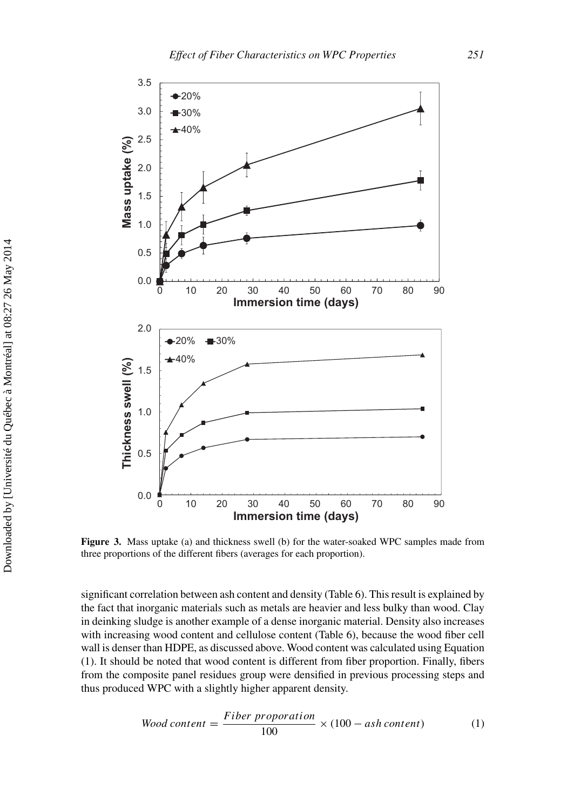

**Figure 3.** Mass uptake (a) and thickness swell (b) for the water-soaked WPC samples made from three proportions of the different fibers (averages for each proportion).

significant correlation between ash content and density (Table 6). This result is explained by the fact that inorganic materials such as metals are heavier and less bulky than wood. Clay in deinking sludge is another example of a dense inorganic material. Density also increases with increasing wood content and cellulose content (Table 6), because the wood fiber cell wall is denser than HDPE, as discussed above. Wood content was calculated using Equation (1). It should be noted that wood content is different from fiber proportion. Finally, fibers from the composite panel residues group were densified in previous processing steps and thus produced WPC with a slightly higher apparent density.

$$
Wood content = \frac{Fiber\,proparation}{100} \times (100 - ash\,content)
$$
 (1)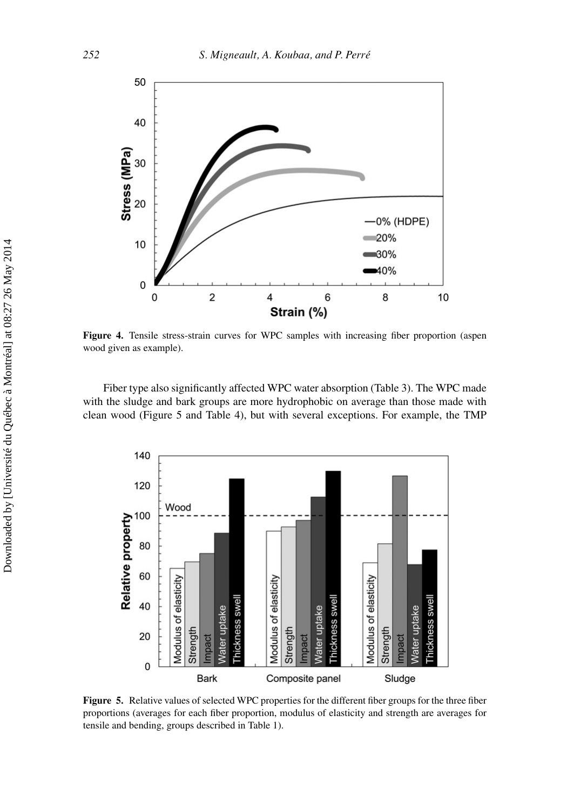

**Figure 4.** Tensile stress-strain curves for WPC samples with increasing fiber proportion (aspen wood given as example).

Fiber type also significantly affected WPC water absorption (Table 3). The WPC made with the sludge and bark groups are more hydrophobic on average than those made with clean wood (Figure 5 and Table 4), but with several exceptions. For example, the TMP



Figure 5. Relative values of selected WPC properties for the different fiber groups for the three fiber proportions (averages for each fiber proportion, modulus of elasticity and strength are averages for tensile and bending, groups described in Table 1).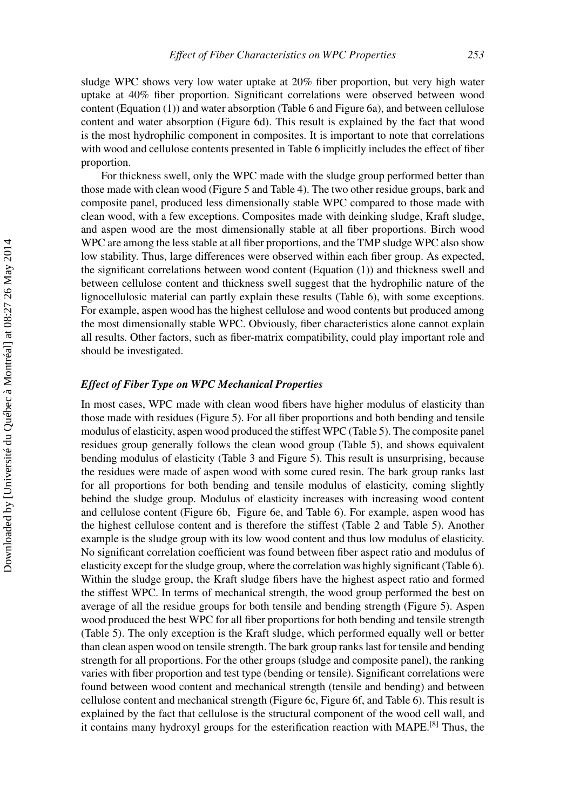sludge WPC shows very low water uptake at 20% fiber proportion, but very high water uptake at 40% fiber proportion. Significant correlations were observed between wood content (Equation (1)) and water absorption (Table 6 and Figure 6a), and between cellulose content and water absorption (Figure 6d). This result is explained by the fact that wood is the most hydrophilic component in composites. It is important to note that correlations with wood and cellulose contents presented in Table 6 implicitly includes the effect of fiber proportion.

For thickness swell, only the WPC made with the sludge group performed better than those made with clean wood (Figure 5 and Table 4). The two other residue groups, bark and composite panel, produced less dimensionally stable WPC compared to those made with clean wood, with a few exceptions. Composites made with deinking sludge, Kraft sludge, and aspen wood are the most dimensionally stable at all fiber proportions. Birch wood WPC are among the less stable at all fiber proportions, and the TMP sludge WPC also show low stability. Thus, large differences were observed within each fiber group. As expected, the significant correlations between wood content (Equation (1)) and thickness swell and between cellulose content and thickness swell suggest that the hydrophilic nature of the lignocellulosic material can partly explain these results (Table 6), with some exceptions. For example, aspen wood has the highest cellulose and wood contents but produced among the most dimensionally stable WPC. Obviously, fiber characteristics alone cannot explain all results. Other factors, such as fiber-matrix compatibility, could play important role and should be investigated.

## *Effect of Fiber Type on WPC Mechanical Properties*

In most cases, WPC made with clean wood fibers have higher modulus of elasticity than those made with residues (Figure 5). For all fiber proportions and both bending and tensile modulus of elasticity, aspen wood produced the stiffest WPC (Table 5). The composite panel residues group generally follows the clean wood group (Table 5), and shows equivalent bending modulus of elasticity (Table 3 and Figure 5). This result is unsurprising, because the residues were made of aspen wood with some cured resin. The bark group ranks last for all proportions for both bending and tensile modulus of elasticity, coming slightly behind the sludge group. Modulus of elasticity increases with increasing wood content and cellulose content (Figure 6b, Figure 6e, and Table 6). For example, aspen wood has the highest cellulose content and is therefore the stiffest (Table 2 and Table 5). Another example is the sludge group with its low wood content and thus low modulus of elasticity. No significant correlation coefficient was found between fiber aspect ratio and modulus of elasticity except for the sludge group, where the correlation was highly significant (Table 6). Within the sludge group, the Kraft sludge fibers have the highest aspect ratio and formed the stiffest WPC. In terms of mechanical strength, the wood group performed the best on average of all the residue groups for both tensile and bending strength (Figure 5). Aspen wood produced the best WPC for all fiber proportions for both bending and tensile strength (Table 5). The only exception is the Kraft sludge, which performed equally well or better than clean aspen wood on tensile strength. The bark group ranks last for tensile and bending strength for all proportions. For the other groups (sludge and composite panel), the ranking varies with fiber proportion and test type (bending or tensile). Significant correlations were found between wood content and mechanical strength (tensile and bending) and between cellulose content and mechanical strength (Figure 6c, Figure 6f, and Table 6). This result is explained by the fact that cellulose is the structural component of the wood cell wall, and it contains many hydroxyl groups for the esterification reaction with MAPE.[8] Thus, the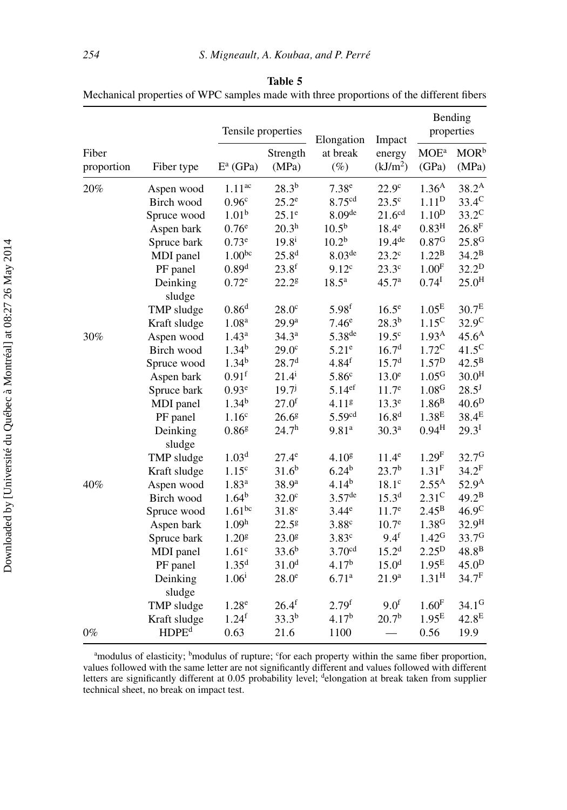| Downloaded by [Université du Québec à Montréal] at 08:27 26 May 2014 |  |  |
|----------------------------------------------------------------------|--|--|
|                                                                      |  |  |

| Table 5                                                                                  |  |
|------------------------------------------------------------------------------------------|--|
| Mechanical properties of WPC samples made with three proportions of the different fibers |  |

|                     |                    | Tensile properties   |                   | Elongation           | Impact                         |                   | Bending<br>properties     |
|---------------------|--------------------|----------------------|-------------------|----------------------|--------------------------------|-------------------|---------------------------|
| Fiber<br>proportion | Fiber type         | $E^a$ (GPa)          | Strength<br>(MPa) | at break<br>$(\%)$   | energy<br>(kJ/m <sup>2</sup> ) | $MOE^a$<br>(GPa)  | MOR <sup>b</sup><br>(MPa) |
| 20%                 | Aspen wood         | $1.11$ <sup>ac</sup> | $28.3^{b}$        | 7.38 <sup>e</sup>    | 22.9 <sup>c</sup>              | $1.36^{A}$        | $38.2^{\rm A}$            |
|                     | Birch wood         | 0.96 <sup>c</sup>    | $25.2^e$          | 8.75 <sup>cd</sup>   | $23.5^{\circ}$                 | 1.11 <sup>D</sup> | 33.4 <sup>C</sup>         |
|                     | Spruce wood        | $1.01^{b}$           | $25.1^e$          | 8.09 <sup>de</sup>   | 21.6 <sup>cd</sup>             | 1.10 <sup>D</sup> | $33.2^C$                  |
|                     | Aspen bark         | $0.76^e$             | 20.3 <sup>h</sup> | $10.5^{b}$           | $18.4^e$                       | $0.83^{\text{H}}$ | $26.8^{F}$                |
|                     | Spruce bark        | 0.73 <sup>e</sup>    | $19.8^{i}$        | 10.2 <sup>b</sup>    | 19.4 <sup>de</sup>             | 0.87 <sup>G</sup> | $25.8^{G}$                |
|                     | MDI panel          | 1.00 <sup>bc</sup>   | 25.8 <sup>d</sup> | 8.03 <sup>de</sup>   | $23.2^{\circ}$                 | 1.22 <sup>B</sup> | $34.2^{B}$                |
|                     | PF panel           | 0.89 <sup>d</sup>    | $23.8^{f}$        | 9.12 <sup>c</sup>    | 23.3 <sup>c</sup>              | $1.00^{\rm F}$    | $32.2^{D}$                |
|                     | Deinking<br>sludge | $0.72^e$             | $22.2^{g}$        | $18.5^{\mathrm{a}}$  | 45.7 <sup>a</sup>              | $0.74^{I}$        | $25.0^{\text{H}}$         |
|                     | TMP sludge         | 0.86 <sup>d</sup>    | 28.0 <sup>c</sup> | 5.98 <sup>f</sup>    | $16.5^e$                       | 1.05 <sup>E</sup> | 30.7 <sup>E</sup>         |
|                     | Kraft sludge       | 1.08 <sup>a</sup>    | 29.9 <sup>a</sup> | 7.46 <sup>e</sup>    | $28.3^{b}$                     | $1.15^{\circ}$    | $32.9^{\circ}$            |
| 30%                 | Aspen wood         | $1.43^a$             | $34.3^{\rm a}$    | 5.38 <sup>de</sup>   | 19.5 <sup>c</sup>              | 1.93 <sup>A</sup> | $45.6^{A}$                |
|                     | Birch wood         | 1.34 <sup>b</sup>    | 29.0 <sup>c</sup> | 5.21 <sup>e</sup>    | 16.7 <sup>d</sup>              | $1.72^{\rm C}$    | $41.5^{\circ}$            |
|                     | Spruce wood        | $1.34^{b}$           | 28.7 <sup>d</sup> | 4.84 <sup>f</sup>    | 15.7 <sup>d</sup>              | 1.57 <sup>D</sup> | $42.5^{\mathrm{B}}$       |
|                     | Aspen bark         | $0.91$ <sup>f</sup>  | $21.4^{i}$        | 5.86 <sup>c</sup>    | 13.0 <sup>e</sup>              | 1.05 <sup>G</sup> | 30.0 <sup>H</sup>         |
|                     | Spruce bark        | 0.93 <sup>e</sup>    | $19.7^{j}$        | $5.14^{ef}$          | 11.7 <sup>e</sup>              | 1.08 <sup>G</sup> | $28.5^{\mathrm{J}}$       |
|                     | MDI panel          | $1.34^{b}$           | $27.0^{\rm f}$    | 4.11 <sup>g</sup>    | $13.3^e$                       | 1.86 <sup>B</sup> | $40.6D$                   |
|                     | PF panel           | 1.16 <sup>c</sup>    | 26.6 <sup>g</sup> | 5.59 <sup>cd</sup>   | 16.8 <sup>d</sup>              | 1.38 <sup>E</sup> | 38.4 <sup>E</sup>         |
|                     | Deinking<br>sludge | 0.86 <sup>g</sup>    | 24.7 <sup>h</sup> | 9.81 <sup>a</sup>    | 30.3 <sup>a</sup>              | 0.94 <sup>H</sup> | $29.3^{I}$                |
|                     | TMP sludge         | 1.03 <sup>d</sup>    | $27.4^e$          | $4.10^{8}$           | $11.4^\text{e}$                | 1.29 <sup>F</sup> | $32.7^{G}$                |
|                     | Kraft sludge       | 1.15 <sup>c</sup>    | 31.6 <sup>b</sup> | 6.24 <sup>b</sup>    | 23.7 <sup>b</sup>              | 1.31 <sup>F</sup> | 34.2 <sup>F</sup>         |
| 40%                 | Aspen wood         | 1.83 <sup>a</sup>    | 38.9 <sup>a</sup> | $4.14^{b}$           | 18.1 <sup>c</sup>              | $2.55^{A}$        | 52.9 <sup>A</sup>         |
|                     | Birch wood         | $1.64^{b}$           | 32.0 <sup>c</sup> | $3.57$ <sup>de</sup> | $15.3^{d}$                     | 2.31 <sup>C</sup> | $49.2^{\rm B}$            |
|                     | Spruce wood        | $1.61^{bc}$          | 31.8 <sup>c</sup> | $3.44^e$             | $11.7^e$                       | $2.45^{\rm B}$    | $46.9^{\circ}$            |
|                     | Aspen bark         | 1.09 <sup>h</sup>    | $22.5^{g}$        | 3.88 <sup>c</sup>    | 10.7 <sup>e</sup>              | 1.38 <sup>G</sup> | 32.9H                     |
|                     | Spruce bark        | 1.20 <sup>g</sup>    | $23.0^{8}$        | 3.83 <sup>c</sup>    | $9.4^f$                        | 1.42 <sup>G</sup> | 33.7 <sup>G</sup>         |
|                     | MDI panel          | 1.61 <sup>c</sup>    | $33.6^{b}$        | 3.70 <sup>cd</sup>   | 15.2 <sup>d</sup>              | 2.25 <sup>D</sup> | $48.8^{\text{B}}$         |
|                     | PF panel           | 1.35 <sup>d</sup>    | 31.0 <sup>d</sup> | $4.17^{b}$           | 15.0 <sup>d</sup>              | 1.95 <sup>E</sup> | 45.0 <sup>D</sup>         |
|                     | Deinking<br>sludge | $1.06^{i}$           | $28.0^\mathrm{e}$ | 6.71 <sup>a</sup>    | 21.9 <sup>a</sup>              | $1.31^{\rm H}$    | $34.7^{F}$                |
|                     | TMP sludge         | 1.28 <sup>e</sup>    | $26.4^{\rm f}$    | 2.79 <sup>f</sup>    | 9.0 <sup>f</sup>               | 1.60 <sup>F</sup> | 34.1 <sup>G</sup>         |
|                     | Kraft sludge       | 1.24 <sup>f</sup>    | $33.3^{b}$        | 4.17 <sup>b</sup>    | 20.7 <sup>b</sup>              | 1.95 <sup>E</sup> | 42.8 <sup>E</sup>         |
| $0\%$               | HDPE <sup>d</sup>  | 0.63                 | 21.6              | 1100                 |                                | 0.56              | 19.9                      |

<sup>a</sup>modulus of elasticity; <sup>b</sup>modulus of rupture; <sup>c</sup>for each property within the same fiber proportion, values followed with the same letter are not significantly different and values followed with different letters are significantly different at 0.05 probability level; delongation at break taken from supplier technical sheet, no break on impact test.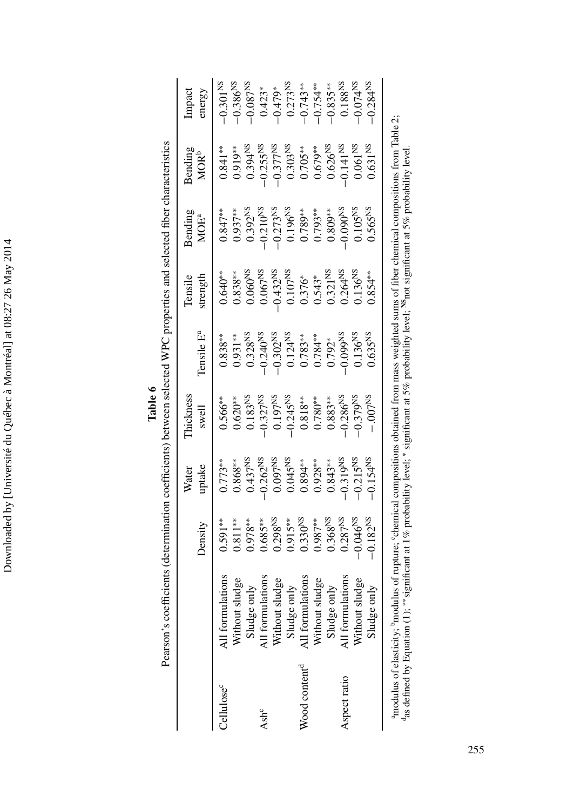Downloaded by [Université du Québec à Montréal] at 08:27 26 May 2014 Downloaded by [Université du Québec à Montréal] at 08:27 26 May 2014

|                           | Pearson's coefficients (determination coefficients) between selected WPC properties and selected fiber characteristics |                                                                                       |                                                    |                                                              |                                                               |                                                                                                                                  |                                                                               |                                                                                                                                      |                                                             |
|---------------------------|------------------------------------------------------------------------------------------------------------------------|---------------------------------------------------------------------------------------|----------------------------------------------------|--------------------------------------------------------------|---------------------------------------------------------------|----------------------------------------------------------------------------------------------------------------------------------|-------------------------------------------------------------------------------|--------------------------------------------------------------------------------------------------------------------------------------|-------------------------------------------------------------|
|                           |                                                                                                                        | Density                                                                               | uptake<br>Water                                    | hickness<br>swell                                            | $\Gamma$ ensile $\mathrm{E}^{\mathrm{s}}$                     | strength<br>Tensile                                                                                                              | Bending<br><b>MOE</b> <sup>a</sup>                                            | <b>Bending</b><br><b>MOR</b> <sup>b</sup>                                                                                            | Impact<br>energy                                            |
| Cellulose <sup>c</sup>    | All formulations<br>Without sludge                                                                                     | $0.591**$<br>$0.811**$                                                                | $0.773**$<br>$0.868**$                             | $0.620***$<br>0.183 <sup>NS</sup><br>$0.566***$              | $0.838**$<br>$0.931***$                                       | $0.838***$<br>$0.640**$                                                                                                          | $0.937***$<br>$0.847***$                                                      | $0.919***$<br>$0.841***$                                                                                                             | $-0.386$ <sup>NS</sup><br>$-0.301$ $\rm NS$                 |
| Ash <sup>c</sup>          | All formulations<br>Without sludge<br>Sludge only                                                                      | $0.978**$<br>$0.685**$                                                                | $0.437^{NS}$<br>$-0.262^{NS}$                      | $-0.327^{NS}$<br>0.197 <sup>NS</sup><br>-0.245 <sup>NS</sup> | $0.328^{NS}$<br>-0.240 <sup>NS</sup><br>-0.302 <sup>NS</sup>  |                                                                                                                                  | 0.392 <sup>NS</sup>                                                           |                                                                                                                                      | $-0.087$ <sup>NS</sup><br>$0.423*$                          |
| Wood content <sup>d</sup> | All formulations<br>Without sludge<br>Sludge only                                                                      | $\frac{0.298^{\rm NS}}{0.330^{\rm NS}}$<br>0.330 <sup>NS</sup><br>0.330 <sup>NS</sup> | $0.097^{NS}_{N45^{NS}}$<br>$0.894***$<br>$0.928**$ | $\frac{0.818**}{0.780**}$<br>0.780**                         | $0.124$ <sup>NS</sup><br>$0.783***$<br>$0.784***$<br>$0.792*$ | $0.060^{NS}_{100}$<br>$0.067^{NS}_{100}$<br>$0.0432^{NS}_{100}$<br>$0.107^{NS}_{100}$<br>$0.37^{3*}_{100}$<br>$0.321^{NS}_{100}$ | $-0.210^{NS}$<br>$-0.273^{NS}$<br>0.196 <sup>KS</sup><br>0.789**<br>$0.793**$ | $\begin{array}{c} 0.394^{\rm NS} \\ -0.255^{\rm NS} \\ -0.377^{\rm NS} \\ 0.303^{\rm NS} \\ 0.705^{**} \\ 0.705^{**} \\ \end{array}$ | $-0.479*$<br>0.273 <sup>NS</sup><br>$-0.743***$<br>-0.754** |
| Aspect ratio              | All formulations<br>Without sludge<br>Sludge only                                                                      | 0.368 <sup>NS</sup><br>$0.046^{NS}$<br>$0.287^{NS}$                                   | $-0.319NS$<br>$-0.215^{NS}$<br>$0.843***$          | $-0.286^{NS}$<br>$-0.379^{NS}$                               | $0.136$ <sup>NS</sup><br>$-0.099$ NS                          | $0.264^{NS}$<br>$0.136$ <sup>NS</sup>                                                                                            | $-0.090^{NS}$<br>$0.105$ <sup>NS</sup><br>$0.809**$                           | $0.626^{NS}$<br>-0.141 <sup>NS</sup><br>0.061 <sup>NS</sup>                                                                          | $0.188^{\rm NS}$<br>$-0.074$ <sup>NS</sup><br>$-0.835***$   |
|                           | Sludge only                                                                                                            | $0.182^{NS}$                                                                          | $-0.154$ <sup>NS</sup>                             | $-.007$ <sup>NS</sup>                                        | 0.635 <sup>NS</sup>                                           | $0.854***$                                                                                                                       | $0.565^{NS}$                                                                  | $0.631$ <sup>NS</sup>                                                                                                                | $-0.284$ <sup>NS</sup>                                      |

Pearson's coefficients (determination coefficients) between selected WPC properties and selected fiber characteristics **Table 6**

<sup>a</sup>modulus of elasticity; <sup>b</sup>modulus of rupture; <sup>c</sup>chemical compositions obtained from mass weighted sums of fiber chemical compositions from Table 2;<br><sup>d</sup>as defined by Equation (1); \*\*significant at 1% probability level; amodulus of elasticity; bmodulus of rupture; cchemical compositions obtained from mass weighted sums of fiber chemical compositions from Table 2; das defined by Equation (1); ∗∗significant at 1% probability level; ∗ significant at 5% probability level; **NS**not significant at 5% probability level.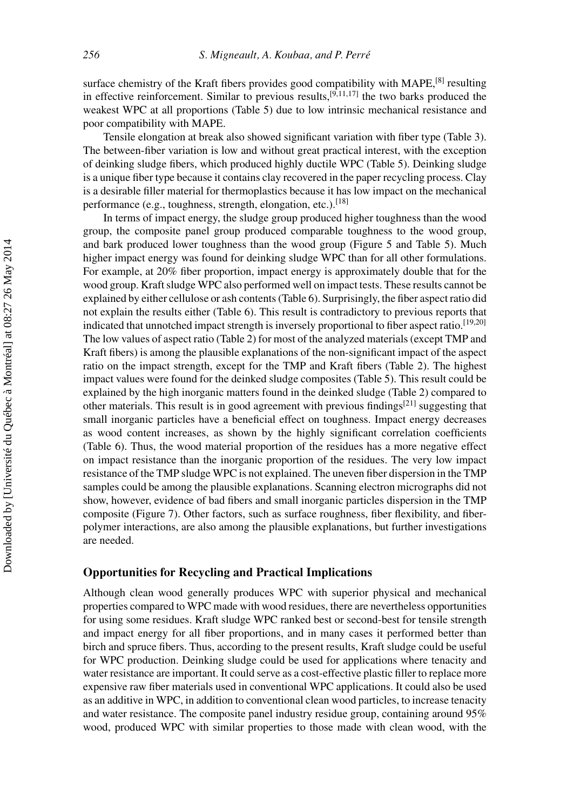surface chemistry of the Kraft fibers provides good compatibility with MAPE,<sup>[8]</sup> resulting in effective reinforcement. Similar to previous results,  $[9,11,17]$  the two barks produced the weakest WPC at all proportions (Table 5) due to low intrinsic mechanical resistance and poor compatibility with MAPE.

Tensile elongation at break also showed significant variation with fiber type (Table 3). The between-fiber variation is low and without great practical interest, with the exception of deinking sludge fibers, which produced highly ductile WPC (Table 5). Deinking sludge is a unique fiber type because it contains clay recovered in the paper recycling process. Clay is a desirable filler material for thermoplastics because it has low impact on the mechanical performance (e.g., toughness, strength, elongation, etc.).<sup>[18]</sup>

In terms of impact energy, the sludge group produced higher toughness than the wood group, the composite panel group produced comparable toughness to the wood group, and bark produced lower toughness than the wood group (Figure 5 and Table 5). Much higher impact energy was found for deinking sludge WPC than for all other formulations. For example, at 20% fiber proportion, impact energy is approximately double that for the wood group. Kraft sludge WPC also performed well on impact tests. These results cannot be explained by either cellulose or ash contents (Table 6). Surprisingly, the fiber aspect ratio did not explain the results either (Table 6). This result is contradictory to previous reports that indicated that unnotched impact strength is inversely proportional to fiber aspect ratio.<sup>[19,20]</sup> The low values of aspect ratio (Table 2) for most of the analyzed materials (except TMP and Kraft fibers) is among the plausible explanations of the non-significant impact of the aspect ratio on the impact strength, except for the TMP and Kraft fibers (Table 2). The highest impact values were found for the deinked sludge composites (Table 5). This result could be explained by the high inorganic matters found in the deinked sludge (Table 2) compared to other materials. This result is in good agreement with previous findings<sup>[21]</sup> suggesting that small inorganic particles have a beneficial effect on toughness. Impact energy decreases as wood content increases, as shown by the highly significant correlation coefficients (Table 6). Thus, the wood material proportion of the residues has a more negative effect on impact resistance than the inorganic proportion of the residues. The very low impact resistance of the TMP sludge WPC is not explained. The uneven fiber dispersion in the TMP samples could be among the plausible explanations. Scanning electron micrographs did not show, however, evidence of bad fibers and small inorganic particles dispersion in the TMP composite (Figure 7). Other factors, such as surface roughness, fiber flexibility, and fiberpolymer interactions, are also among the plausible explanations, but further investigations are needed.

## **Opportunities for Recycling and Practical Implications**

Although clean wood generally produces WPC with superior physical and mechanical properties compared to WPC made with wood residues, there are nevertheless opportunities for using some residues. Kraft sludge WPC ranked best or second-best for tensile strength and impact energy for all fiber proportions, and in many cases it performed better than birch and spruce fibers. Thus, according to the present results, Kraft sludge could be useful for WPC production. Deinking sludge could be used for applications where tenacity and water resistance are important. It could serve as a cost-effective plastic filler to replace more expensive raw fiber materials used in conventional WPC applications. It could also be used as an additive in WPC, in addition to conventional clean wood particles, to increase tenacity and water resistance. The composite panel industry residue group, containing around 95% wood, produced WPC with similar properties to those made with clean wood, with the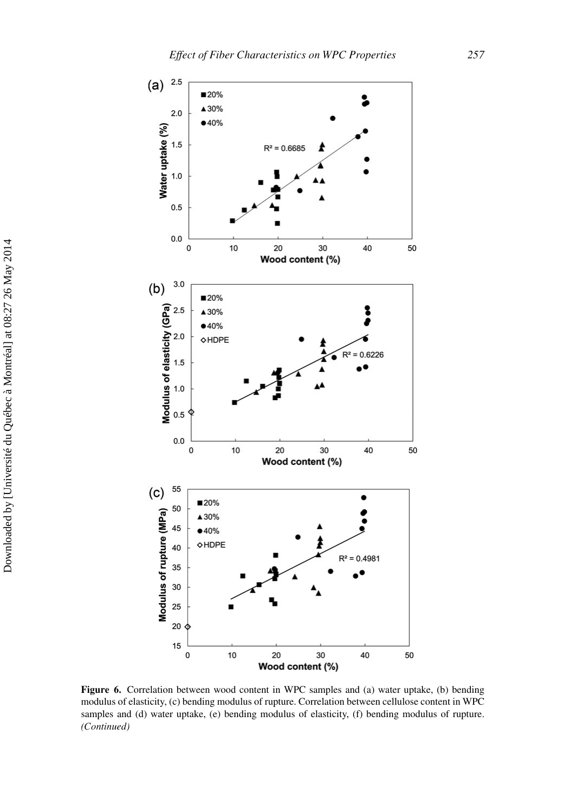

**Figure 6.** Correlation between wood content in WPC samples and (a) water uptake, (b) bending modulus of elasticity, (c) bending modulus of rupture. Correlation between cellulose content in WPC samples and (d) water uptake, (e) bending modulus of elasticity, (f) bending modulus of rupture. *(Continued)*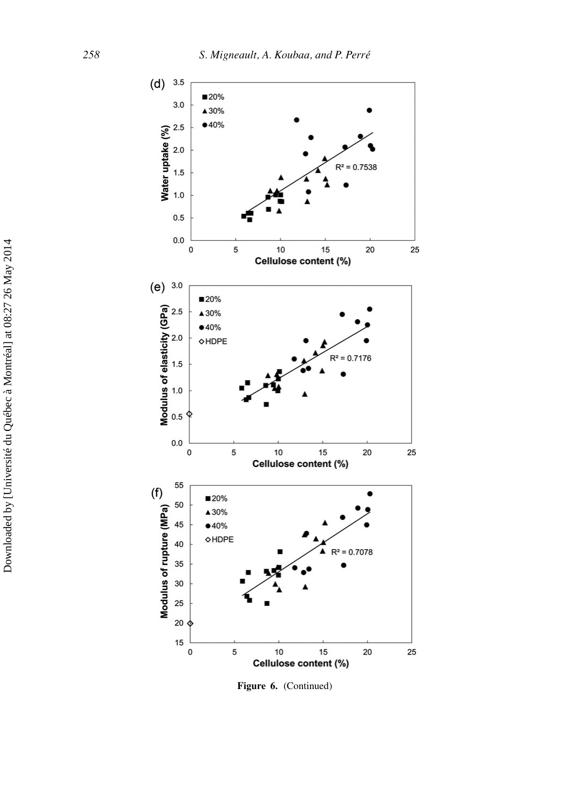

**Figure 6.** (Continued)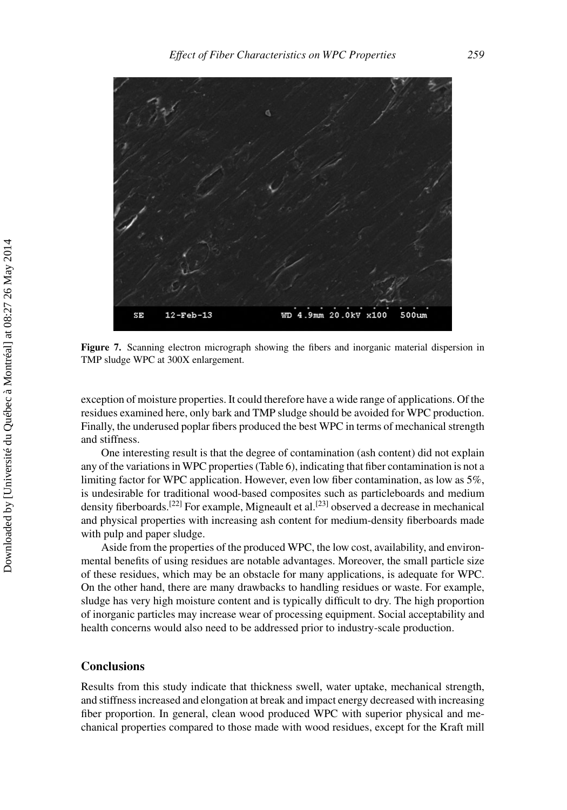

**Figure 7.** Scanning electron micrograph showing the fibers and inorganic material dispersion in TMP sludge WPC at 300X enlargement.

exception of moisture properties. It could therefore have a wide range of applications. Of the residues examined here, only bark and TMP sludge should be avoided for WPC production. Finally, the underused poplar fibers produced the best WPC in terms of mechanical strength and stiffness.

One interesting result is that the degree of contamination (ash content) did not explain any of the variations in WPC properties (Table 6), indicating that fiber contamination is not a limiting factor for WPC application. However, even low fiber contamination, as low as 5%, is undesirable for traditional wood-based composites such as particleboards and medium density fiberboards.<sup>[22]</sup> For example, Migneault et al.<sup>[23]</sup> observed a decrease in mechanical and physical properties with increasing ash content for medium-density fiberboards made with pulp and paper sludge.

Aside from the properties of the produced WPC, the low cost, availability, and environmental benefits of using residues are notable advantages. Moreover, the small particle size of these residues, which may be an obstacle for many applications, is adequate for WPC. On the other hand, there are many drawbacks to handling residues or waste. For example, sludge has very high moisture content and is typically difficult to dry. The high proportion of inorganic particles may increase wear of processing equipment. Social acceptability and health concerns would also need to be addressed prior to industry-scale production.

## **Conclusions**

Results from this study indicate that thickness swell, water uptake, mechanical strength, and stiffness increased and elongation at break and impact energy decreased with increasing fiber proportion. In general, clean wood produced WPC with superior physical and mechanical properties compared to those made with wood residues, except for the Kraft mill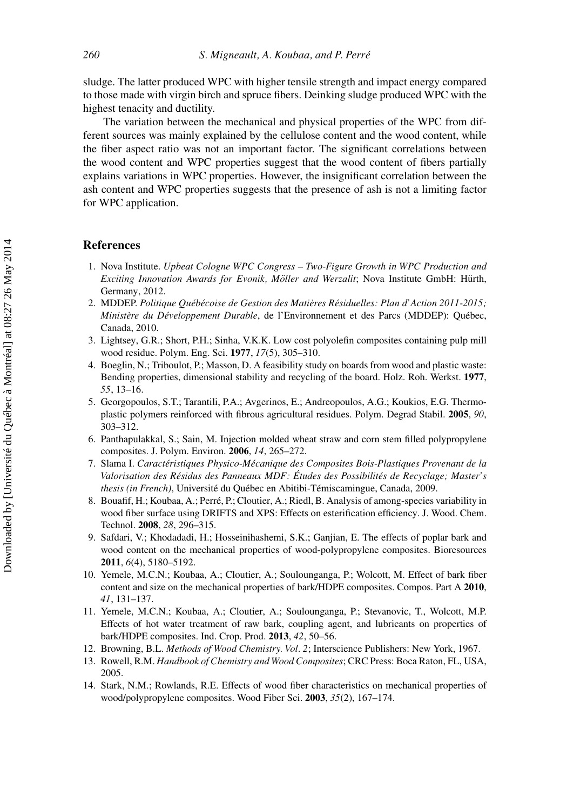sludge. The latter produced WPC with higher tensile strength and impact energy compared to those made with virgin birch and spruce fibers. Deinking sludge produced WPC with the highest tenacity and ductility.

The variation between the mechanical and physical properties of the WPC from different sources was mainly explained by the cellulose content and the wood content, while the fiber aspect ratio was not an important factor. The significant correlations between the wood content and WPC properties suggest that the wood content of fibers partially explains variations in WPC properties. However, the insignificant correlation between the ash content and WPC properties suggests that the presence of ash is not a limiting factor for WPC application.

### **References**

- 1. Nova Institute. *Upbeat Cologne WPC Congress Two-Figure Growth in WPC Production and Exciting Innovation Awards for Evonik, Möller and Werzalit*; Nova Institute GmbH: Hürth, Germany, 2012.
- 2. MDDEP. *Politique Queb´ ecoise de Gestion des Mati ´ eres R ` esiduelles: Plan d'Action 2011-2015; ´ Ministere du D ` eveloppement Durable ´* , de l'Environnement et des Parcs (MDDEP): Quebec, ´ Canada, 2010.
- 3. Lightsey, G.R.; Short, P.H.; Sinha, V.K.K. Low cost polyolefin composites containing pulp mill wood residue. Polym. Eng. Sci. **1977**, *17*(5), 305–310.
- 4. Boeglin, N.; Triboulot, P.; Masson, D. A feasibility study on boards from wood and plastic waste: Bending properties, dimensional stability and recycling of the board. Holz. Roh. Werkst. **1977**, *55*, 13–16.
- 5. Georgopoulos, S.T.; Tarantili, P.A.; Avgerinos, E.; Andreopoulos, A.G.; Koukios, E.G. Thermoplastic polymers reinforced with fibrous agricultural residues. Polym. Degrad Stabil. **2005**, *90*, 303–312.
- 6. Panthapulakkal, S.; Sain, M. Injection molded wheat straw and corn stem filled polypropylene composites. J. Polym. Environ. **2006**, *14*, 265–272.
- 7. Slama I. *Caracteristiques Physico-M ´ ecanique des Composites Bois-Plastiques Provenant de la ´ Valorisation des Résidus des Panneaux MDF: Études des Possibilités de Recyclage; Master's thesis (in French)*, Université du Québec en Abitibi-Témiscamingue, Canada, 2009.
- 8. Bouafif, H.; Koubaa, A.; Perré, P.; Cloutier, A.; Riedl, B. Analysis of among-species variability in wood fiber surface using DRIFTS and XPS: Effects on esterification efficiency. J. Wood. Chem. Technol. **2008**, *28*, 296–315.
- 9. Safdari, V.; Khodadadi, H.; Hosseinihashemi, S.K.; Ganjian, E. The effects of poplar bark and wood content on the mechanical properties of wood-polypropylene composites. Bioresources **2011**, *6*(4), 5180–5192.
- 10. Yemele, M.C.N.; Koubaa, A.; Cloutier, A.; Soulounganga, P.; Wolcott, M. Effect of bark fiber content and size on the mechanical properties of bark/HDPE composites. Compos. Part A **2010**, *41*, 131–137.
- 11. Yemele, M.C.N.; Koubaa, A.; Cloutier, A.; Soulounganga, P.; Stevanovic, T., Wolcott, M.P. Effects of hot water treatment of raw bark, coupling agent, and lubricants on properties of bark/HDPE composites. Ind. Crop. Prod. **2013**, *42*, 50–56.
- 12. Browning, B.L. *Methods of Wood Chemistry. Vol. 2*; Interscience Publishers: New York, 1967.
- 13. Rowell, R.M. *Handbook of Chemistry and Wood Composites*; CRC Press: Boca Raton, FL, USA, 2005.
- 14. Stark, N.M.; Rowlands, R.E. Effects of wood fiber characteristics on mechanical properties of wood/polypropylene composites. Wood Fiber Sci. **2003**, *35*(2), 167–174.